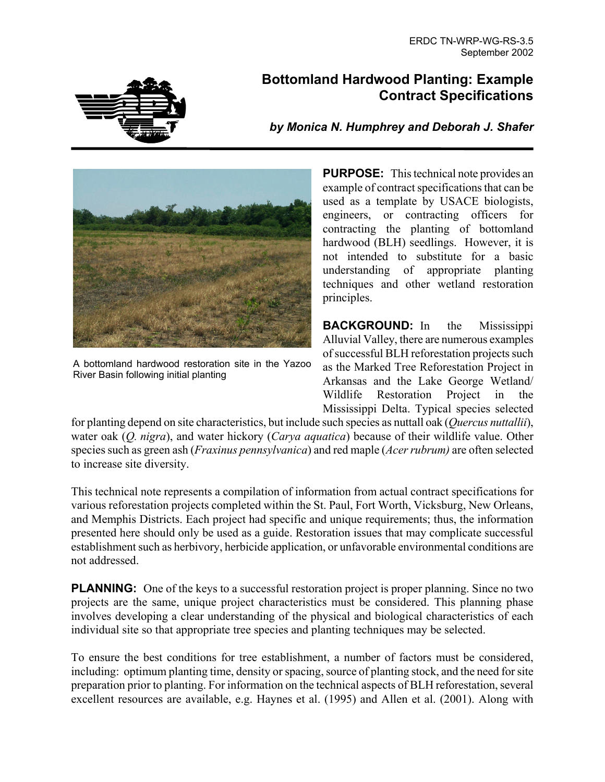

# **Bottomland Hardwood Planting: Example Contract Specifications**

*by Monica N. Humphrey and Deborah J. Shafer* 



A bottomland hardwood restoration site in the Yazoo River Basin following initial planting

**PURPOSE:** This technical note provides an example of contract specifications that can be used as a template by USACE biologists, engineers, or contracting officers for contracting the planting of bottomland hardwood (BLH) seedlings. However, it is not intended to substitute for a basic understanding of appropriate planting techniques and other wetland restoration principles.

**BACKGROUND:** In the Mississippi Alluvial Valley, there are numerous examples of successful BLH reforestation projects such as the Marked Tree Reforestation Project in Arkansas and the Lake George Wetland/ Wildlife Restoration Project in the Mississippi Delta. Typical species selected

for planting depend on site characteristics, but include such species as nuttall oak (*Quercus nuttallii*), water oak (*Q. nigra*), and water hickory (*Carya aquatica*) because of their wildlife value. Other species such as green ash (*Fraxinus pennsylvanica*) and red maple (*Acer rubrum)* are often selected to increase site diversity.

This technical note represents a compilation of information from actual contract specifications for various reforestation projects completed within the St. Paul, Fort Worth, Vicksburg, New Orleans, and Memphis Districts. Each project had specific and unique requirements; thus, the information presented here should only be used as a guide. Restoration issues that may complicate successful establishment such as herbivory, herbicide application, or unfavorable environmental conditions are not addressed.

**PLANNING:** One of the keys to a successful restoration project is proper planning. Since no two projects are the same, unique project characteristics must be considered. This planning phase involves developing a clear understanding of the physical and biological characteristics of each individual site so that appropriate tree species and planting techniques may be selected.

To ensure the best conditions for tree establishment, a number of factors must be considered, including: optimum planting time, density or spacing, source of planting stock, and the need for site preparation prior to planting. For information on the technical aspects of BLH reforestation, several excellent resources are available, e.g. Haynes et al. (1995) and Allen et al. (2001). Along with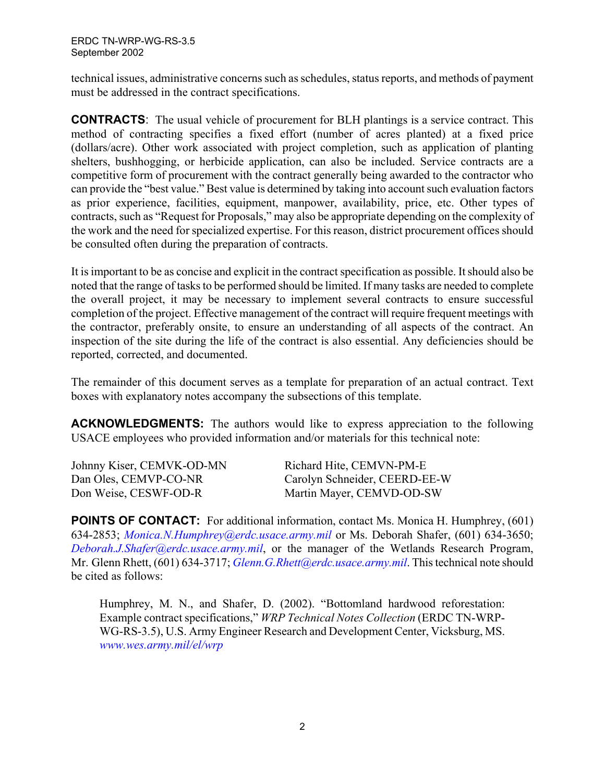technical issues, administrative concerns such as schedules, status reports, and methods of payment must be addressed in the contract specifications.

**CONTRACTS**: The usual vehicle of procurement for BLH plantings is a service contract. This method of contracting specifies a fixed effort (number of acres planted) at a fixed price (dollars/acre). Other work associated with project completion, such as application of planting shelters, bushhogging, or herbicide application, can also be included. Service contracts are a competitive form of procurement with the contract generally being awarded to the contractor who can provide the "best value." Best value is determined by taking into account such evaluation factors as prior experience, facilities, equipment, manpower, availability, price, etc. Other types of contracts, such as "Request for Proposals," may also be appropriate depending on the complexity of the work and the need for specialized expertise. For this reason, district procurement offices should be consulted often during the preparation of contracts.

It is important to be as concise and explicit in the contract specification as possible. It should also be noted that the range of tasks to be performed should be limited. If many tasks are needed to complete the overall project, it may be necessary to implement several contracts to ensure successful completion of the project. Effective management of the contract will require frequent meetings with the contractor, preferably onsite, to ensure an understanding of all aspects of the contract. An inspection of the site during the life of the contract is also essential. Any deficiencies should be reported, corrected, and documented.

The remainder of this document serves as a template for preparation of an actual contract. Text boxes with explanatory notes accompany the subsections of this template.

**ACKNOWLEDGMENTS:** The authors would like to express appreciation to the following USACE employees who provided information and/or materials for this technical note:

| Johnny Kiser, CEMVK-OD-MN | Richard Hite, CEMVN-PM-E      |
|---------------------------|-------------------------------|
| Dan Oles, CEMVP-CO-NR     | Carolyn Schneider, CEERD-EE-W |
| Don Weise, CESWF-OD-R     | Martin Mayer, CEMVD-OD-SW     |

**POINTS OF CONTACT:** For additional information, contact Ms. Monica H. Humphrey, (601) 634-2853; *[Monica.N.Humphrey@erdc.usace.army.mil](mailto:Monica.N.Humphrey@erdc.usace.army.mil)* or Ms. Deborah Shafer, (601) 634-3650; *[Deborah.J.Shafer@erdc.usace.army.mil](mailto:Deborah.J.Shafer@erdc.usace.army.mil)*, or the manager of the Wetlands Research Program, Mr. Glenn Rhett, (601) 634-3717; *[Glenn.G.Rhett@erdc.usace.army.mil](mailto:Glenn.G.Rhett@erdc.usace.army.mil)*. This technical note should be cited as follows:

Humphrey, M. N., and Shafer, D. (2002). "Bottomland hardwood reforestation: Example contract specifications," *WRP Technical Notes Collection* (ERDC TN-WRP-WG-RS-3.5), U.S. Army Engineer Research and Development Center, Vicksburg, MS. *[www.wes.army.mil/el/wrp](http://www.wes.army.mil/el/wrp)*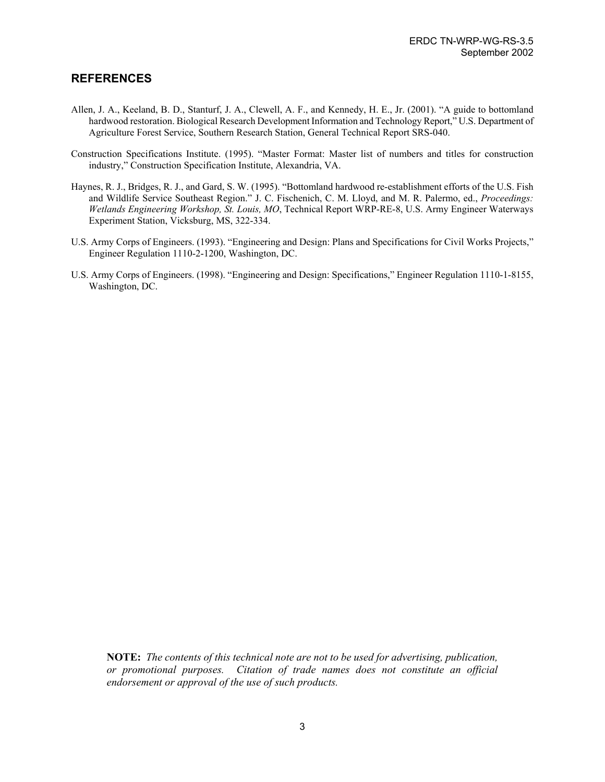#### **REFERENCES**

- Allen, J. A., Keeland, B. D., Stanturf, J. A., Clewell, A. F., and Kennedy, H. E., Jr. (2001). "A guide to bottomland hardwood restoration. Biological Research Development Information and Technology Report," U.S. Department of Agriculture Forest Service, Southern Research Station, General Technical Report SRS-040.
- Construction Specifications Institute. (1995). "Master Format: Master list of numbers and titles for construction industry," Construction Specification Institute, Alexandria, VA.
- Haynes, R. J., Bridges, R. J., and Gard, S. W. (1995). "Bottomland hardwood re-establishment efforts of the U.S. Fish and Wildlife Service Southeast Region." J. C. Fischenich, C. M. Lloyd, and M. R. Palermo, ed., *Proceedings: Wetlands Engineering Workshop, St. Louis, MO*, Technical Report WRP-RE-8, U.S. Army Engineer Waterways Experiment Station, Vicksburg, MS, 322-334.
- U.S. Army Corps of Engineers. (1993). "Engineering and Design: Plans and Specifications for Civil Works Projects," Engineer Regulation 1110-2-1200, Washington, DC.
- U.S. Army Corps of Engineers. (1998). "Engineering and Design: Specifications," Engineer Regulation 1110-1-8155, Washington, DC.

**NOTE:** *The contents of this technical note are not to be used for advertising, publication, or promotional purposes. Citation of trade names does not constitute an official endorsement or approval of the use of such products.*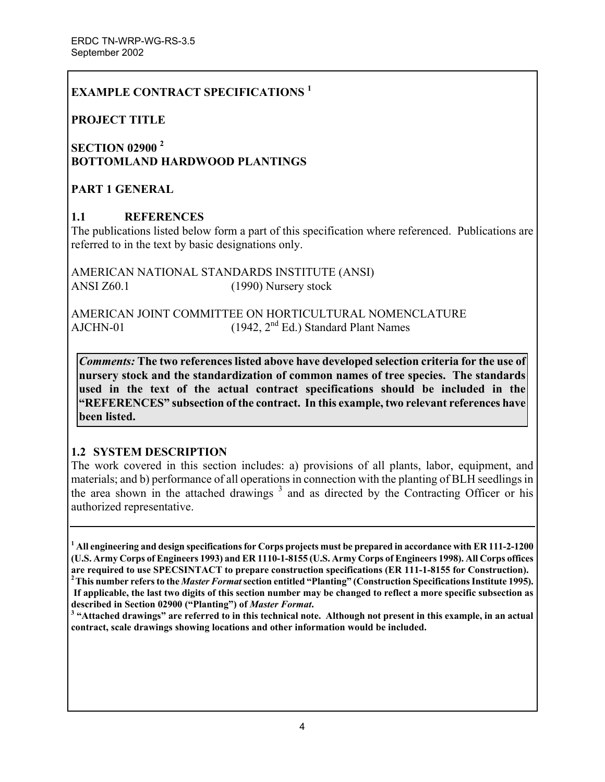## **EXAMPLE CONTRACT SPECIFICATIONS <sup>1</sup>**

### **PROJECT TITLE**

## **SECTION 02900 <sup>2</sup> BOTTOMLAND HARDWOOD PLANTINGS**

### **PART 1 GENERAL**

### **1.1 REFERENCES**

The publications listed below form a part of this specification where referenced. Publications are referred to in the text by basic designations only.

AMERICAN NATIONAL STANDARDS INSTITUTE (ANSI) ANSI Z60.1 (1990) Nursery stock

AMERICAN JOINT COMMITTEE ON HORTICULTURAL NOMENCLATURE AJCHN-01 (1942, 2<sup>nd</sup> Ed.) Standard Plant Names

*Comments:* **The two references listed above have developed selection criteria for the use of nursery stock and the standardization of common names of tree species. The standards used in the text of the actual contract specifications should be included in the "REFERENCES" subsection of the contract. In this example, two relevant references have been listed.** 

### **1.2 SYSTEM DESCRIPTION**

The work covered in this section includes: a) provisions of all plants, labor, equipment, and materials; and b) performance of all operations in connection with the planting of BLH seedlings in the area shown in the attached drawings  $3$  and as directed by the Contracting Officer or his authorized representative.

**1 All engineering and design specifications for Corps projects must be prepared in accordance with ER 111-2-1200 (U.S. Army Corps of Engineers 1993) and ER 1110-1-8155 (U.S. Army Corps of Engineers 1998). All Corps offices**  are required to use SPECSINTACT to prepare construction specifications (ER 111-1-8155 for Construction).<br><sup>2</sup>This number refers to the *Master Format* section entitled "Planting" (Construction Specifications Institute 1995)

<sup>3</sup> "Attached drawings" are referred to in this technical note. Although not present in this example, in an actual **contract, scale drawings showing locations and other information would be included.** 

**If applicable, the last two digits of this section number may be changed to reflect a more specific subsection as described in Section 02900 ("Planting") of** *Master Format***. 3**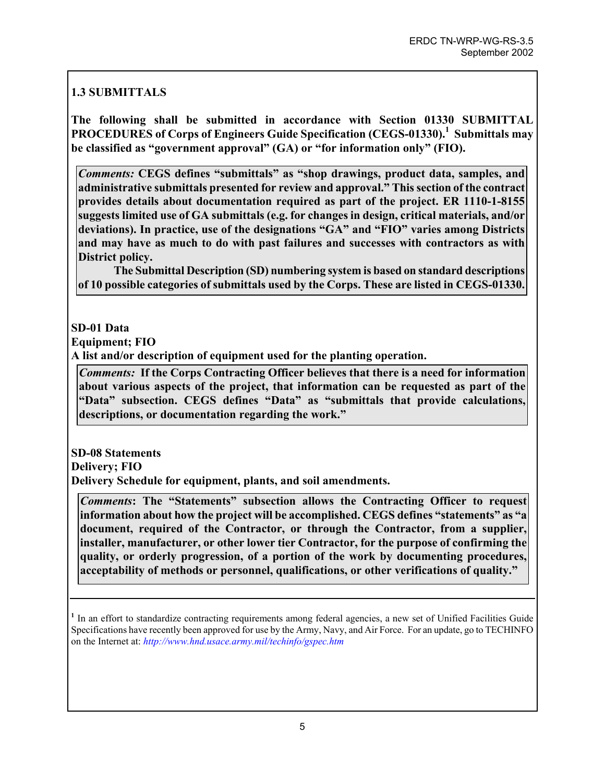# **1.3 SUBMITTALS**

**The following shall be submitted in accordance with Section 01330 SUBMITTAL**  PROCEDURES of Corps of Engineers Guide Specification (CEGS-01330).<sup>1</sup> Submittals may **be classified as "government approval" (GA) or "for information only" (FIO).** 

*Comments:* **CEGS defines "submittals" as "shop drawings, product data, samples, and administrative submittals presented for review and approval." This section of the contract provides details about documentation required as part of the project. ER 1110-1-8155 suggests limited use of GA submittals (e.g. for changes in design, critical materials, and/or deviations). In practice, use of the designations "GA" and "FIO" varies among Districts and may have as much to do with past failures and successes with contractors as with District policy.** 

**The Submittal Description (SD) numbering system is based on standard descriptions of 10 possible categories of submittals used by the Corps. These are listed in CEGS-01330.** 

## **SD-01 Data**

**Equipment; FIO** 

**A list and/or description of equipment used for the planting operation.** 

*Comments:* **If the Corps Contracting Officer believes that there is a need for information about various aspects of the project, that information can be requested as part of the "Data" subsection. CEGS defines "Data" as "submittals that provide calculations, descriptions, or documentation regarding the work."** 

**SD-08 Statements Delivery; FIO Delivery Schedule for equipment, plants, and soil amendments.** 

*Comments***: The "Statements" subsection allows the Contracting Officer to request information about how the project will be accomplished. CEGS defines "statements" as "a document, required of the Contractor, or through the Contractor, from a supplier, installer, manufacturer, or other lower tier Contractor, for the purpose of confirming the quality, or orderly progression, of a portion of the work by documenting procedures, acceptability of methods or personnel, qualifications, or other verifications of quality."** 

<sup>&</sup>lt;sup>1</sup> In an effort to standardize contracting requirements among federal agencies, a new set of Unified Facilities Guide Specifications have recently been approved for use by the Army, Navy, and Air Force. For an update, go to TECHINFO on the Internet at: *<http://www.hnd.usace.army.mil/techinfo/gspec.htm>*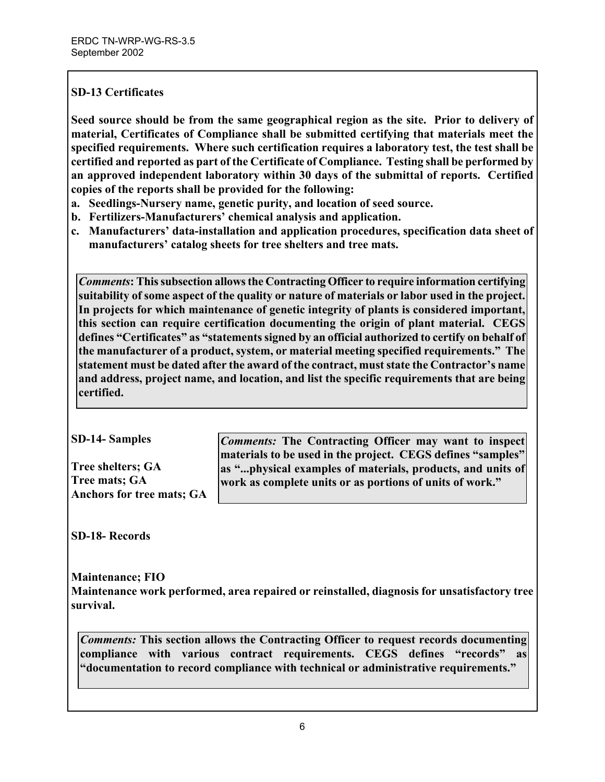### **SD-13 Certificates**

**Seed source should be from the same geographical region as the site. Prior to delivery of material, Certificates of Compliance shall be submitted certifying that materials meet the specified requirements. Where such certification requires a laboratory test, the test shall be certified and reported as part of the Certificate of Compliance. Testing shall be performed by an approved independent laboratory within 30 days of the submittal of reports. Certified copies of the reports shall be provided for the following:** 

- **a. Seedlings-Nursery name, genetic purity, and location of seed source.**
- **b. Fertilizers-Manufacturers' chemical analysis and application.**
- **c. Manufacturers' data-installation and application procedures, specification data sheet of manufacturers' catalog sheets for tree shelters and tree mats.**

*Comments***: This subsection allows the Contracting Officer to require information certifying suitability of some aspect of the quality or nature of materials or labor used in the project. In projects for which maintenance of genetic integrity of plants is considered important, this section can require certification documenting the origin of plant material. CEGS defines "Certificates" as "statements signed by an official authorized to certify on behalf of the manufacturer of a product, system, or material meeting specified requirements." The statement must be dated after the award of the contract, must state the Contractor's name and address, project name, and location, and list the specific requirements that are being certified.** 

**Tree shelters; GA Tree mats; GA Anchors for tree mats; GA** 

**SD-14- Samples** *Comments:* **The Contracting Officer may want to inspect materials to be used in the project. CEGS defines "samples" as "...physical examples of materials, products, and units of work as complete units or as portions of units of work."** 

**SD-18- Records**

**Maintenance; FIO Maintenance work performed, area repaired or reinstalled, diagnosis for unsatisfactory tree survival.** 

*Comments:* **This section allows the Contracting Officer to request records documenting compliance with various contract requirements. CEGS defines "records" as "documentation to record compliance with technical or administrative requirements."**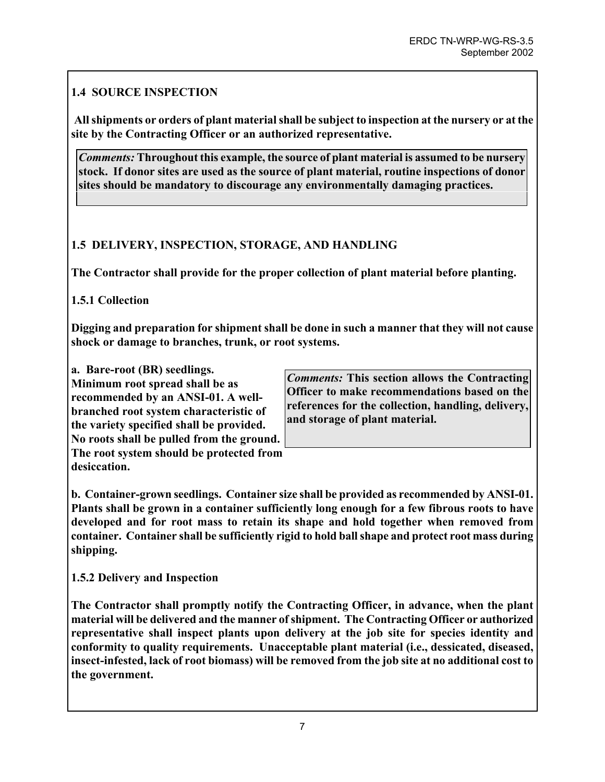## **1.4 SOURCE INSPECTION**

**All shipments or orders of plant material shall be subject to inspection at the nursery or at the site by the Contracting Officer or an authorized representative.** 

*Comments:* **Throughout this example, the source of plant material is assumed to be nursery stock. If donor sites are used as the source of plant material, routine inspections of donor sites should be mandatory to discourage any environmentally damaging practices.** 

## **1.5 DELIVERY, INSPECTION, STORAGE, AND HANDLING**

**The Contractor shall provide for the proper collection of plant material before planting.** 

## **1.5.1 Collection**

**Digging and preparation for shipment shall be done in such a manner that they will not cause shock or damage to branches, trunk, or root systems.** 

**Minimum root spread shall be as recommended by an ANSI-01. A wellbranched root system characteristic of the variety specified shall be provided. No roots shall be pulled from the ground.** 

**The root system should be protected from desiccation.** 

**a. Bare-root (BR) seedlings.** *Comments:* **This section allows the Contracting Officer to make recommendations based on the references for the collection, handling, delivery, and storage of plant material.** 

**b. Container-grown seedlings. Container size shall be provided as recommended by ANSI-01. Plants shall be grown in a container sufficiently long enough for a few fibrous roots to have developed and for root mass to retain its shape and hold together when removed from container. Container shall be sufficiently rigid to hold ball shape and protect root mass during shipping.** 

**1.5.2 Delivery and Inspection** 

**The Contractor shall promptly notify the Contracting Officer, in advance, when the plant material will be delivered and the manner of shipment. The Contracting Officer or authorized representative shall inspect plants upon delivery at the job site for species identity and conformity to quality requirements. Unacceptable plant material (i.e., dessicated, diseased, insect-infested, lack of root biomass) will be removed from the job site at no additional cost to the government.**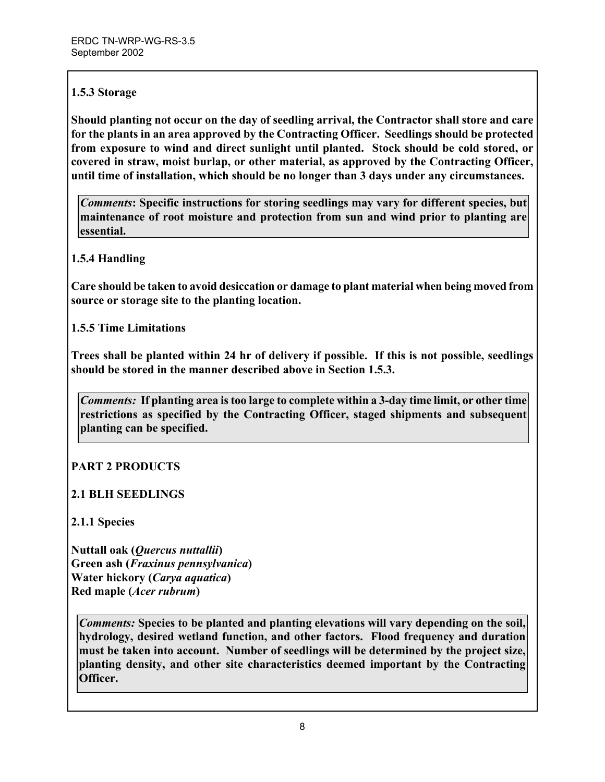## **1.5.3 Storage**

**Should planting not occur on the day of seedling arrival, the Contractor shall store and care for the plants in an area approved by the Contracting Officer. Seedlings should be protected from exposure to wind and direct sunlight until planted. Stock should be cold stored, or covered in straw, moist burlap, or other material, as approved by the Contracting Officer, until time of installation, which should be no longer than 3 days under any circumstances.** 

*Comments***: Specific instructions for storing seedlings may vary for different species, but maintenance of root moisture and protection from sun and wind prior to planting are essential.** 

## **1.5.4 Handling**

**Care should be taken to avoid desiccation or damage to plant material when being moved from source or storage site to the planting location.** 

**1.5.5 Time Limitations** 

**Trees shall be planted within 24 hr of delivery if possible. If this is not possible, seedlings should be stored in the manner described above in Section 1.5.3.** 

*Comments:* **If planting area is too large to complete within a 3-day time limit, or other time restrictions as specified by the Contracting Officer, staged shipments and subsequent planting can be specified.** 

## **PART 2 PRODUCTS**

## **2.1 BLH SEEDLINGS**

**2.1.1 Species** 

**Nuttall oak (***Quercus nuttallii***) Green ash (***Fraxinus pennsylvanica***) Water hickory (***Carya aquatica***) Red maple (***Acer rubrum***)** 

*Comments:* **Species to be planted and planting elevations will vary depending on the soil, hydrology, desired wetland function, and other factors. Flood frequency and duration must be taken into account. Number of seedlings will be determined by the project size, planting density, and other site characteristics deemed important by the Contracting Officer.**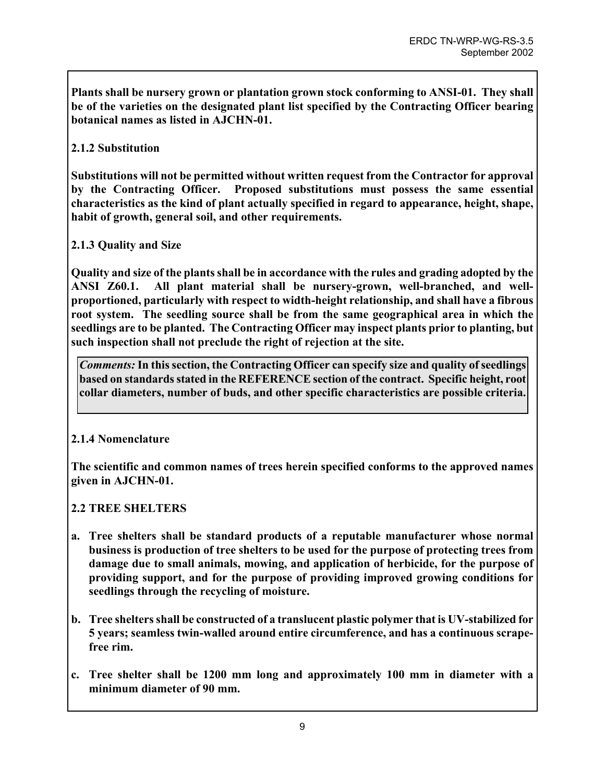**Plants shall be nursery grown or plantation grown stock conforming to ANSI-01. They shall be of the varieties on the designated plant list specified by the Contracting Officer bearing botanical names as listed in AJCHN-01.** 

### **2.1.2 Substitution**

**Substitutions will not be permitted without written request from the Contractor for approval by the Contracting Officer. Proposed substitutions must possess the same essential characteristics as the kind of plant actually specified in regard to appearance, height, shape, habit of growth, general soil, and other requirements.** 

### **2.1.3 Quality and Size**

**Quality and size of the plants shall be in accordance with the rules and grading adopted by the ANSI Z60.1. All plant material shall be nursery-grown, well-branched, and wellproportioned, particularly with respect to width-height relationship, and shall have a fibrous root system. The seedling source shall be from the same geographical area in which the seedlings are to be planted. The Contracting Officer may inspect plants prior to planting, but such inspection shall not preclude the right of rejection at the site.** 

*Comments:* **In this section, the Contracting Officer can specify size and quality of seedlings based on standards stated in the REFERENCE section of the contract. Specific height, root collar diameters, number of buds, and other specific characteristics are possible criteria.**

### **2.1.4 Nomenclature**

**The scientific and common names of trees herein specified conforms to the approved names given in AJCHN-01.** 

### **2.2 TREE SHELTERS**

- **a. Tree shelters shall be standard products of a reputable manufacturer whose normal business is production of tree shelters to be used for the purpose of protecting trees from damage due to small animals, mowing, and application of herbicide, for the purpose of providing support, and for the purpose of providing improved growing conditions for seedlings through the recycling of moisture.**
- **b. Tree shelters shall be constructed of a translucent plastic polymer that is UV-stabilized for 5 years; seamless twin-walled around entire circumference, and has a continuous scrapefree rim.**
- **c. Tree shelter shall be 1200 mm long and approximately 100 mm in diameter with a minimum diameter of 90 mm.**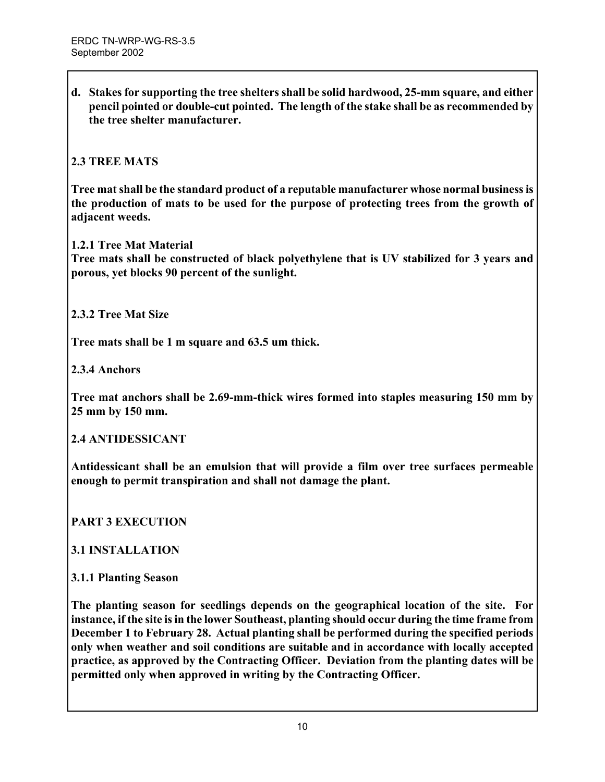**d. Stakes for supporting the tree shelters shall be solid hardwood, 25-mm square, and either pencil pointed or double-cut pointed. The length of the stake shall be as recommended by the tree shelter manufacturer.** 

### **2.3 TREE MATS**

**Tree mat shall be the standard product of a reputable manufacturer whose normal business is the production of mats to be used for the purpose of protecting trees from the growth of adjacent weeds.** 

**1.2.1 Tree Mat Material** 

**Tree mats shall be constructed of black polyethylene that is UV stabilized for 3 years and porous, yet blocks 90 percent of the sunlight.** 

**2.3.2 Tree Mat Size**

**Tree mats shall be 1 m square and 63.5 um thick.** 

**2.3.4 Anchors** 

**Tree mat anchors shall be 2.69-mm-thick wires formed into staples measuring 150 mm by 25 mm by 150 mm.** 

### **2.4 ANTIDESSICANT**

**Antidessicant shall be an emulsion that will provide a film over tree surfaces permeable enough to permit transpiration and shall not damage the plant.** 

### **PART 3 EXECUTION**

### **3.1 INSTALLATION**

#### **3.1.1 Planting Season**

**The planting season for seedlings depends on the geographical location of the site. For instance, if the site isin the lower Southeast, planting should occur during the time frame from December 1 to February 28. Actual planting shall be performed during the specified periods only when weather and soil conditions are suitable and in accordance with locally accepted practice, as approved by the Contracting Officer. Deviation from the planting dates will be permitted only when approved in writing by the Contracting Officer.**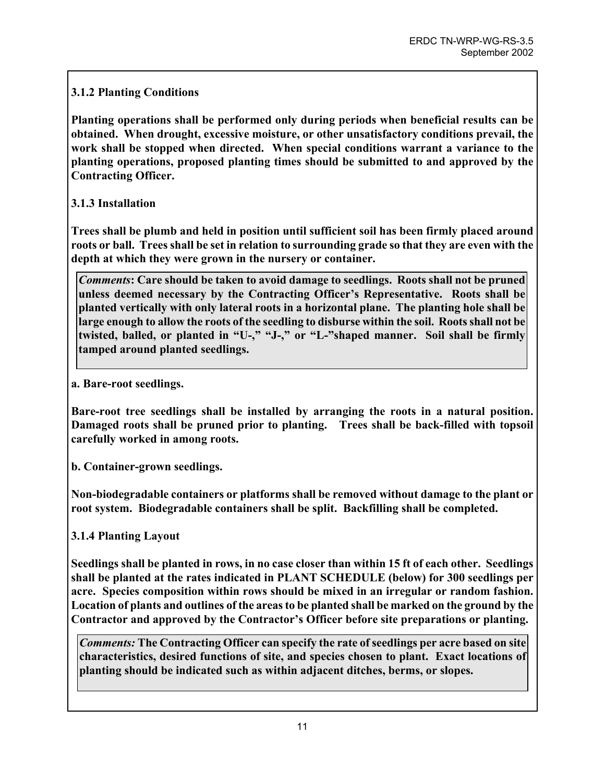## **3.1.2 Planting Conditions**

**Planting operations shall be performed only during periods when beneficial results can be obtained. When drought, excessive moisture, or other unsatisfactory conditions prevail, the work shall be stopped when directed. When special conditions warrant a variance to the planting operations, proposed planting times should be submitted to and approved by the Contracting Officer.** 

### **3.1.3 Installation**

**Trees shall be plumb and held in position until sufficient soil has been firmly placed around roots or ball. Trees shall be set in relation to surrounding grade so that they are even with the depth at which they were grown in the nursery or container.** 

*Comments***: Care should be taken to avoid damage to seedlings. Roots shall not be pruned unless deemed necessary by the Contracting Officer's Representative. Roots shall be planted vertically with only lateral roots in a horizontal plane. The planting hole shall be large enough to allow the roots of the seedling to disburse within the soil. Roots shall not be twisted, balled, or planted in "U-," "J-," or "L-"shaped manner. Soil shall be firmly tamped around planted seedlings.** 

**a. Bare-root seedlings.** 

**Bare-root tree seedlings shall be installed by arranging the roots in a natural position. Damaged roots shall be pruned prior to planting. Trees shall be back-filled with topsoil carefully worked in among roots.** 

**b. Container-grown seedlings.** 

**Non-biodegradable containers or platforms shall be removed without damage to the plant or root system. Biodegradable containers shall be split. Backfilling shall be completed.** 

**3.1.4 Planting Layout** 

**Seedlings shall be planted in rows, in no case closer than within 15 ft of each other. Seedlings shall be planted at the rates indicated in PLANT SCHEDULE (below) for 300 seedlings per acre. Species composition within rows should be mixed in an irregular or random fashion. Location of plants and outlines of the areas to be planted shall be marked on the ground by the Contractor and approved by the Contractor's Officer before site preparations or planting.** 

*Comments:* **The Contracting Officer can specify the rate of seedlings per acre based on site characteristics, desired functions of site, and species chosen to plant. Exact locations of planting should be indicated such as within adjacent ditches, berms, or slopes.**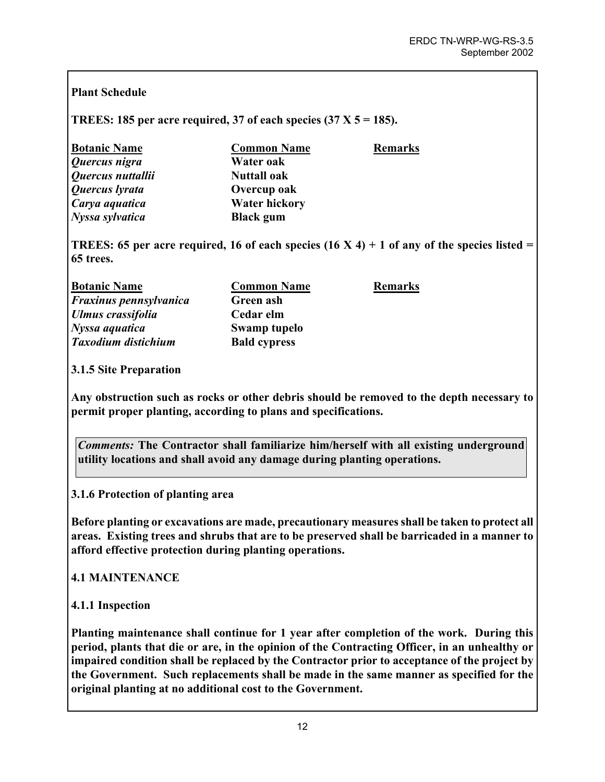### **Plant Schedule**

### **TREES: 185 per acre required, 37 of each species (37 X 5 = 185).**

| <b>Botanic Name</b> | <b>Common Name</b>   | <b>Remarks</b> |
|---------------------|----------------------|----------------|
| Quercus nigra       | Water oak            |                |
| Quercus nuttallii   | <b>Nuttall oak</b>   |                |
| Quercus lyrata      | Overcup oak          |                |
| Carya aquatica      | <b>Water hickory</b> |                |
| Nyssa sylvatica     | <b>Black</b> gum     |                |

**TREES:** 65 per acre required, 16 of each species  $(16 \text{ X } 4) + 1$  of any of the species listed = **65 trees.** 

| <b>Botanic Name</b>           | <b>Common Name</b>  | <b>Remarks</b> |
|-------------------------------|---------------------|----------------|
| <b>Fraxinus pennsylvanica</b> | Green ash           |                |
| <b>Ulmus crassifolia</b>      | Cedar elm           |                |
| Nyssa aquatica                | Swamp tupelo        |                |
| Taxodium distichium           | <b>Bald cypress</b> |                |

**3.1.5 Site Preparation** 

**Any obstruction such as rocks or other debris should be removed to the depth necessary to permit proper planting, according to plans and specifications.** 

*Comments:* **The Contractor shall familiarize him/herself with all existing underground utility locations and shall avoid any damage during planting operations.** 

**3.1.6 Protection of planting area** 

**Before planting or excavations are made, precautionary measures shall be taken to protect all areas. Existing trees and shrubs that are to be preserved shall be barricaded in a manner to afford effective protection during planting operations.** 

**4.1 MAINTENANCE** 

**4.1.1 Inspection** 

**Planting maintenance shall continue for 1 year after completion of the work. During this period, plants that die or are, in the opinion of the Contracting Officer, in an unhealthy or impaired condition shall be replaced by the Contractor prior to acceptance of the project by the Government. Such replacements shall be made in the same manner as specified for the original planting at no additional cost to the Government.**